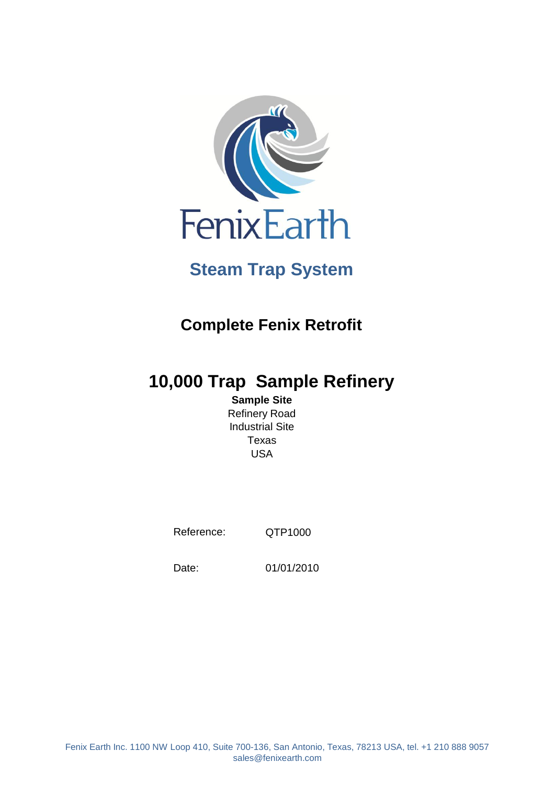

# **Steam Trap System**

# **Complete Fenix Retrofit**

# **10,000 Trap Sample Refinery**

**Sample Site** Refinery Road Industrial Site Texas USA

Reference:

QTP1000

Date:

01/01/2010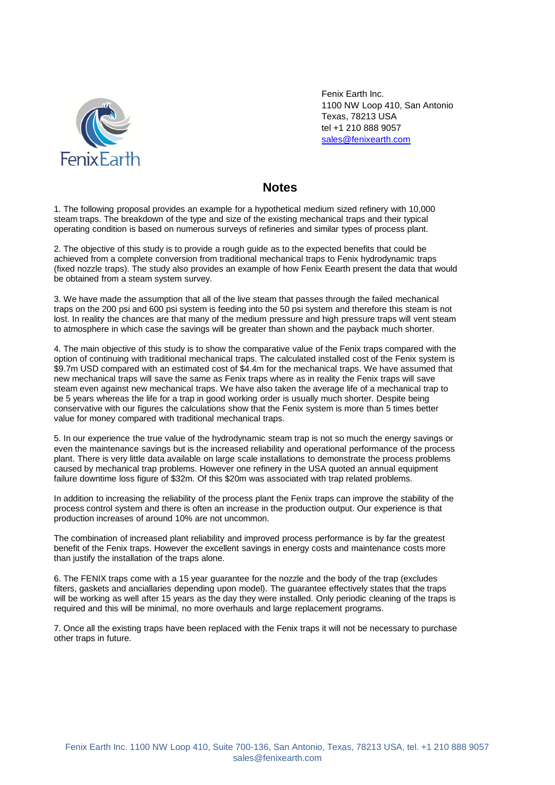

Fenix Earth Inc. 1100 NW Loop 410, San Antonio Texas, 78213 USA tel +1 210 888 9057 [sales@fenixearth.com](mailto:sales@fenixearth.com)

# **Notes**

1. The following proposal provides an example for a hypothetical medium sized refinery with 10,000 steam traps. The breakdown of the type and size of the existing mechanical traps and their typical operating condition is based on numerous surveys of refineries and similar types of process plant.

2. The objective of this study is to provide a rough guide as to the expected benefits that could be achieved from a complete conversion from traditional mechanical traps to Fenix hydrodynamic traps (fixed nozzle traps). The study also provides an example of how Fenix Eearth present the data that would be obtained from a steam system survey.

3. We have made the assumption that all of the live steam that passes through the failed mechanical traps on the 200 psi and 600 psi system is feeding into the 50 psi system and therefore this steam is not lost. In reality the chances are that many of the medium pressure and high pressure traps will vent steam to atmosphere in which case the savings will be greater than shown and the payback much shorter.

4. The main objective of this study is to show the comparative value of the Fenix traps compared with the option of continuing with traditional mechanical traps. The calculated installed cost of the Fenix system is \$9.7m USD compared with an estimated cost of \$4.4m for the mechanical traps. We have assumed that new mechanical traps will save the same as Fenix traps where as in reality the Fenix traps will save steam even against new mechanical traps. We have also taken the average life of a mechanical trap to be 5 years whereas the life for a trap in good working order is usually much shorter. Despite being conservative with our figures the calculations show that the Fenix system is more than 5 times better value for money compared with traditional mechanical traps.

5. In our experience the true value of the hydrodynamic steam trap is not so much the energy savings or even the maintenance savings but is the increased reliability and operational performance of the process plant. There is very little data available on large scale installations to demonstrate the process problems caused by mechanical trap problems. However one refinery in the USA quoted an annual equipment failure downtime loss figure of \$32m. Of this \$20m was associated with trap related problems.

In addition to increasing the reliability of the process plant the Fenix traps can improve the stability of the process control system and there is often an increase in the production output. Our experience is that production increases of around 10% are not uncommon.

The combination of increased plant reliability and improved process performance is by far the greatest benefit of the Fenix traps. However the excellent savings in energy costs and maintenance costs more than justify the installation of the traps alone.

6. The FENIX traps come with a 15 year guarantee for the nozzle and the body of the trap (excludes filters, gaskets and anciallaries depending upon model). The guarantee effectively states that the traps will be working as well after 15 years as the day they were installed. Only periodic cleaning of the traps is required and this will be minimal, no more overhauls and large replacement programs.

7. Once all the existing traps have been replaced with the Fenix traps it will not be necessary to purchase other traps in future.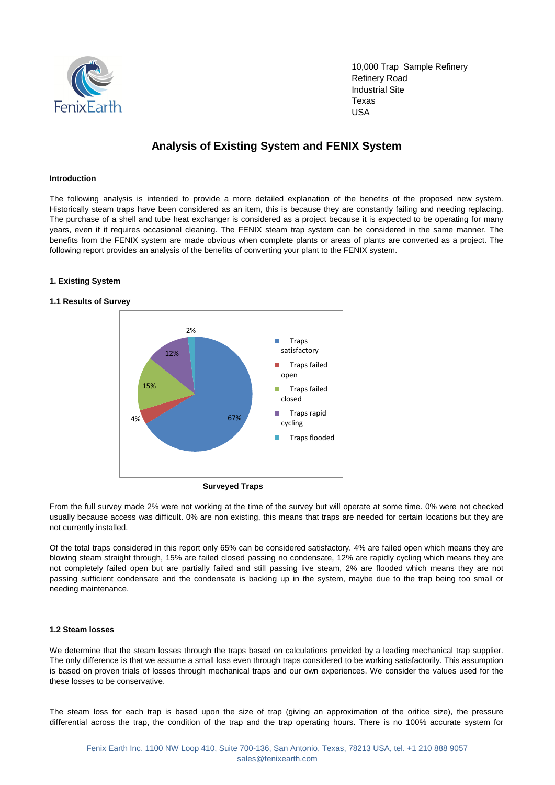

10,000 Trap Sample Refinery Refinery Road Industrial Site Texas USA

# **Analysis of Existing System and FENIX System**

#### **Introduction**

The following analysis is intended to provide a more detailed explanation of the benefits of the proposed new system. Historically steam traps have been considered as an item, this is because they are constantly failing and needing replacing. The purchase of a shell and tube heat exchanger is considered as a project because it is expected to be operating for many years, even if it requires occasional cleaning. The FENIX steam trap system can be considered in the same manner. The benefits from the FENIX system are made obvious when complete plants or areas of plants are converted as a project. The following report provides an analysis of the benefits of converting your plant to the FENIX system.

#### **1. Existing System**

#### **1.1 Results of Survey**



**Surveyed Traps**

From the full survey made 2% were not working at the time of the survey but will operate at some time. 0% were not checked usually because access was difficult. 0% are non existing, this means that traps are needed for certain locations but they are not currently installed.

Of the total traps considered in this report only 65% can be considered satisfactory. 4% are failed open which means they are blowing steam straight through, 15% are failed closed passing no condensate, 12% are rapidly cycling which means they are not completely failed open but are partially failed and still passing live steam, 2% are flooded which means they are not passing sufficient condensate and the condensate is backing up in the system, maybe due to the trap being too small or needing maintenance.

#### **1.2 Steam losses**

We determine that the steam losses through the traps based on calculations provided by a leading mechanical trap supplier. The only difference is that we assume a small loss even through traps considered to be working satisfactorily. This assumption is based on proven trials of losses through mechanical traps and our own experiences. We consider the values used for the these losses to be conservative.

The steam loss for each trap is based upon the size of trap (giving an approximation of the orifice size), the pressure differential across the trap, the condition of the trap and the trap operating hours. There is no 100% accurate system for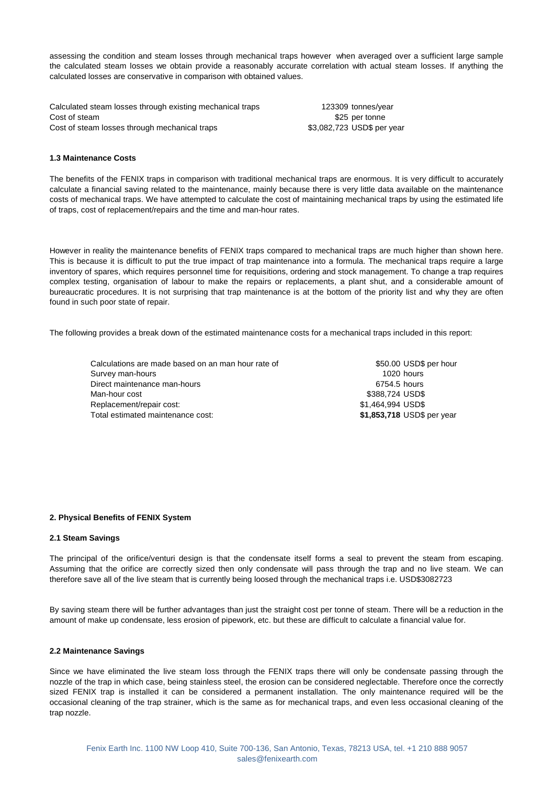assessing the condition and steam losses through mechanical traps however when averaged over a sufficient large sample the calculated steam losses we obtain provide a reasonably accurate correlation with actual steam losses. If anything the calculated losses are conservative in comparison with obtained values.

Calculated steam losses through existing mechanical traps 123309 tonnes/year Cost of steam  $$25$  per tonne Cost of steam losses through mechanical traps \$3,082,723 USD\$ per year

#### **1.3 Maintenance Costs**

The benefits of the FENIX traps in comparison with traditional mechanical traps are enormous. It is very difficult to accurately calculate a financial saving related to the maintenance, mainly because there is very little data available on the maintenance costs of mechanical traps. We have attempted to calculate the cost of maintaining mechanical traps by using the estimated life of traps, cost of replacement/repairs and the time and man-hour rates.

However in reality the maintenance benefits of FENIX traps compared to mechanical traps are much higher than shown here. This is because it is difficult to put the true impact of trap maintenance into a formula. The mechanical traps require a large inventory of spares, which requires personnel time for requisitions, ordering and stock management. To change a trap requires complex testing, organisation of labour to make the repairs or replacements, a plant shut, and a considerable amount of bureaucratic procedures. It is not surprising that trap maintenance is at the bottom of the priority list and why they are often found in such poor state of repair.

The following provides a break down of the estimated maintenance costs for a mechanical traps included in this report:

Calculations are made based on an man hour rate of **\$50.00 USD\$** per hour Survey man-hours is a set of the set of the set of the set of the set of the set of the set of the set of the set of the set of the set of the set of the set of the set of the set of the set of the set of the set of the se Direct maintenance man-hours **6754.5** hours 6754.5 hours Man-hour cost **\$388,724 USD\$** \$388,724 USD\$ Replacement/repair cost:  $$1,464,994$  USD\$ Total estimated maintenance cost: **\$1,853,718** USD\$ per year

#### **2. Physical Benefits of FENIX System**

#### **2.1 Steam Savings**

The principal of the orifice/venturi design is that the condensate itself forms a seal to prevent the steam from escaping. Assuming that the orifice are correctly sized then only condensate will pass through the trap and no live steam. We can therefore save all of the live steam that is currently being loosed through the mechanical traps i.e. USD\$3082723

By saving steam there will be further advantages than just the straight cost per tonne of steam. There will be a reduction in the amount of make up condensate, less erosion of pipework, etc. but these are difficult to calculate a financial value for.

#### **2.2 Maintenance Savings**

Since we have eliminated the live steam loss through the FENIX traps there will only be condensate passing through the nozzle of the trap in which case, being stainless steel, the erosion can be considered neglectable. Therefore once the correctly sized FENIX trap is installed it can be considered a permanent installation. The only maintenance required will be the occasional cleaning of the trap strainer, which is the same as for mechanical traps, and even less occasional cleaning of the trap nozzle.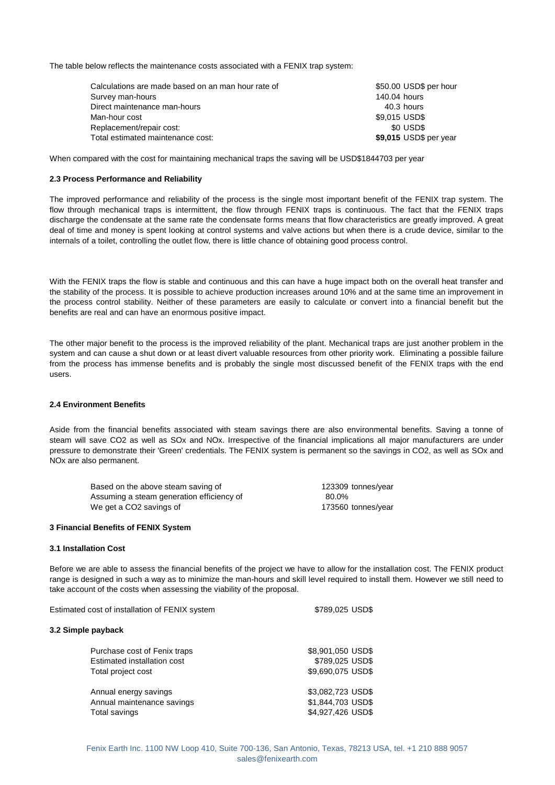The table below reflects the maintenance costs associated with a FENIX trap system:

| Calculations are made based on an man hour rate of | \$50.00 USD\$ per hour |
|----------------------------------------------------|------------------------|
| Survey man-hours                                   | 140.04 hours           |
| Direct maintenance man-hours                       | 40.3 hours             |
| Man-hour cost                                      | \$9.015 USD\$          |
| Replacement/repair cost:                           | \$0 USD\$              |
| Total estimated maintenance cost:                  | \$9,015 USD\$ per year |

When compared with the cost for maintaining mechanical traps the saving will be USD\$1844703 per year

#### **2.3 Process Performance and Reliability**

The improved performance and reliability of the process is the single most important benefit of the FENIX trap system. The flow through mechanical traps is intermittent, the flow through FENIX traps is continuous. The fact that the FENIX traps discharge the condensate at the same rate the condensate forms means that flow characteristics are greatly improved. A great deal of time and money is spent looking at control systems and valve actions but when there is a crude device, similar to the internals of a toilet, controlling the outlet flow, there is little chance of obtaining good process control.

With the FENIX traps the flow is stable and continuous and this can have a huge impact both on the overall heat transfer and the stability of the process. It is possible to achieve production increases around 10% and at the same time an improvement in the process control stability. Neither of these parameters are easily to calculate or convert into a financial benefit but the benefits are real and can have an enormous positive impact.

The other major benefit to the process is the improved reliability of the plant. Mechanical traps are just another problem in the system and can cause a shut down or at least divert valuable resources from other priority work. Eliminating a possible failure from the process has immense benefits and is probably the single most discussed benefit of the FENIX traps with the end users.

#### **2.4 Environment Benefits**

Aside from the financial benefits associated with steam savings there are also environmental benefits. Saving a tonne of steam will save CO2 as well as SOx and NOx. Irrespective of the financial implications all major manufacturers are under pressure to demonstrate their 'Green' credentials. The FENIX system is permanent so the savings in CO2, as well as SOx and NOx are also permanent.

| Based on the above steam saving of        | 123309 tonnes/year |
|-------------------------------------------|--------------------|
| Assuming a steam generation efficiency of | 80.0%              |
| We get a CO2 savings of                   | 173560 tonnes/year |

#### **3 Financial Benefits of FENIX System**

#### **3.1 Installation Cost**

Before we are able to assess the financial benefits of the project we have to allow for the installation cost. The FENIX product range is designed in such a way as to minimize the man-hours and skill level required to install them. However we still need to take account of the costs when assessing the viability of the proposal.

| Estimated cost of installation of FENIX system | \$789,025 USD\$   |
|------------------------------------------------|-------------------|
| 3.2 Simple payback                             |                   |
| Purchase cost of Fenix traps                   | \$8,901,050 USD\$ |
| Estimated installation cost                    | \$789,025 USD\$   |
| Total project cost                             | \$9,690,075 USD\$ |
| Annual energy savings                          | \$3,082,723 USD\$ |
| Annual maintenance savings                     | \$1,844,703 USD\$ |
| Total savings                                  | \$4,927,426 USD\$ |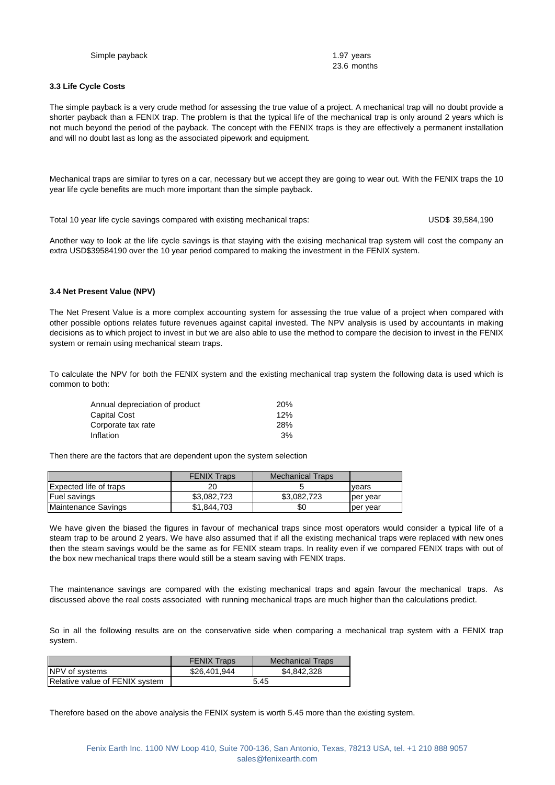**3.3 Life Cycle Costs**

23.6 months

The simple payback is a very crude method for assessing the true value of a project. A mechanical trap will no doubt provide a shorter payback than a FENIX trap. The problem is that the typical life of the mechanical trap is only around 2 years which is not much beyond the period of the payback. The concept with the FENIX traps is they are effectively a permanent installation and will no doubt last as long as the associated pipework and equipment.

Mechanical traps are similar to tyres on a car, necessary but we accept they are going to wear out. With the FENIX traps the 10 year life cycle benefits are much more important than the simple payback.

Total 10 year life cycle savings compared with existing mechanical traps: USD\$ 39,584,190

Another way to look at the life cycle savings is that staying with the exising mechanical trap system will cost the company an extra USD\$39584190 over the 10 year period compared to making the investment in the FENIX system.

#### **3.4 Net Present Value (NPV)**

The Net Present Value is a more complex accounting system for assessing the true value of a project when compared with other possible options relates future revenues against capital invested. The NPV analysis is used by accountants in making decisions as to which project to invest in but we are also able to use the method to compare the decision to invest in the FENIX system or remain using mechanical steam traps.

To calculate the NPV for both the FENIX system and the existing mechanical trap system the following data is used which is common to both:

| Annual depreciation of product | <b>20%</b> |
|--------------------------------|------------|
| Capital Cost                   | 12%        |
| Corporate tax rate             | 28%        |
| Inflation                      | 3%         |

Then there are the factors that are dependent upon the system selection

|                        | <b>FENIX Traps</b> | <b>Mechanical Traps</b> |          |
|------------------------|--------------------|-------------------------|----------|
| Expected life of traps | 20                 |                         | vears    |
| <b>Fuel savings</b>    | \$3.082.723        | \$3,082,723             | ber vear |
| Maintenance Savings    | \$1,844,703        | \$0                     | per vear |

We have given the biased the figures in favour of mechanical traps since most operators would consider a typical life of a steam trap to be around 2 years. We have also assumed that if all the existing mechanical traps were replaced with new ones then the steam savings would be the same as for FENIX steam traps. In reality even if we compared FENIX traps with out of the box new mechanical traps there would still be a steam saving with FENIX traps.

The maintenance savings are compared with the existing mechanical traps and again favour the mechanical traps. As discussed above the real costs associated with running mechanical traps are much higher than the calculations predict.

So in all the following results are on the conservative side when comparing a mechanical trap system with a FENIX trap system.

|                                | <b>FENIX Traps</b> | <b>Mechanical Traps</b> |
|--------------------------------|--------------------|-------------------------|
| NPV of systems                 | \$26,401,944       | \$4.842,328             |
| Relative value of FENIX system | 5.45               |                         |

Therefore based on the above analysis the FENIX system is worth 5.45 more than the existing system.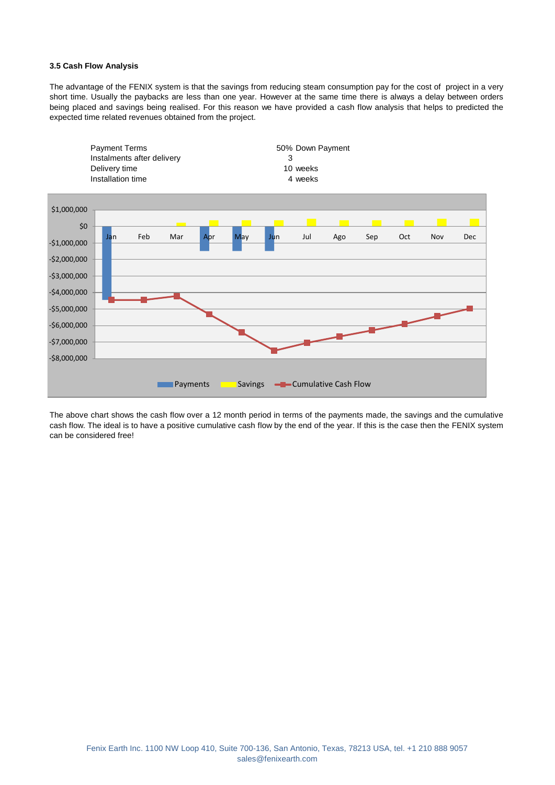#### **3.5 Cash Flow Analysis**

The advantage of the FENIX system is that the savings from reducing steam consumption pay for the cost of project in a very short time. Usually the paybacks are less than one year. However at the same time there is always a delay between orders being placed and savings being realised. For this reason we have provided a cash flow analysis that helps to predicted the expected time related revenues obtained from the project.



The above chart shows the cash flow over a 12 month period in terms of the payments made, the savings and the cumulative cash flow. The ideal is to have a positive cumulative cash flow by the end of the year. If this is the case then the FENIX system can be considered free!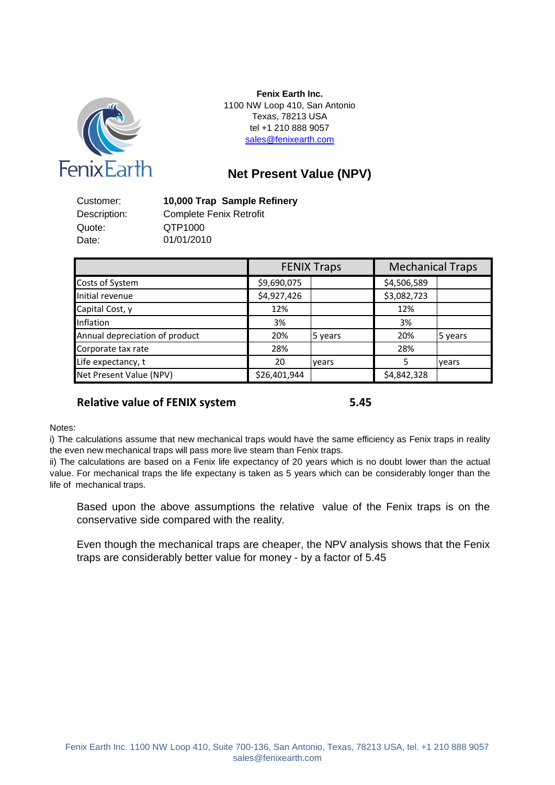

1100 NW Loop 410, San Antonio Texas, 78213 USA tel +1 210 888 9057 [s](mailto:sales@fenixearth.com)ales@fenixearth.com **Fenix Earth Inc.**

# **Net Present Value (NPV)**

Customer: **10,000 Trap Sample Refinery** Quote: QTP1000 Date:

Description: Complete Fenix Retrofit 01/01/2010

|                                |              | <b>FENIX Traps</b> | <b>Mechanical Traps</b> |         |
|--------------------------------|--------------|--------------------|-------------------------|---------|
| Costs of System                | \$9,690,075  |                    | \$4,506,589             |         |
| Initial revenue                | \$4,927,426  |                    | \$3,082,723             |         |
| Capital Cost, y                | 12%          |                    | 12%                     |         |
| Inflation                      | 3%           |                    | 3%                      |         |
| Annual depreciation of product | 20%          | 5 years            | 20%                     | 5 years |
| Corporate tax rate             | 28%          |                    | 28%                     |         |
| Life expectancy, t             | 20           | years              |                         | years   |
| Net Present Value (NPV)        | \$26,401,944 |                    | \$4,842,328             |         |

## **Relative value of FENIX system 5.45**

Notes:

i) The calculations assume that new mechanical traps would have the same efficiency as Fenix traps in reality the even new mechanical traps will pass more live steam than Fenix traps.

ii) The calculations are based on a Fenix life expectancy of 20 years which is no doubt lower than the actual value. For mechanical traps the life expectany is taken as 5 years which can be considerably longer than the life of mechanical traps.

Based upon the above assumptions the relative value of the Fenix traps is on the conservative side compared with the reality.

Even though the mechanical traps are cheaper, the NPV analysis shows that the Fenix traps are considerably better value for money - by a factor of 5.45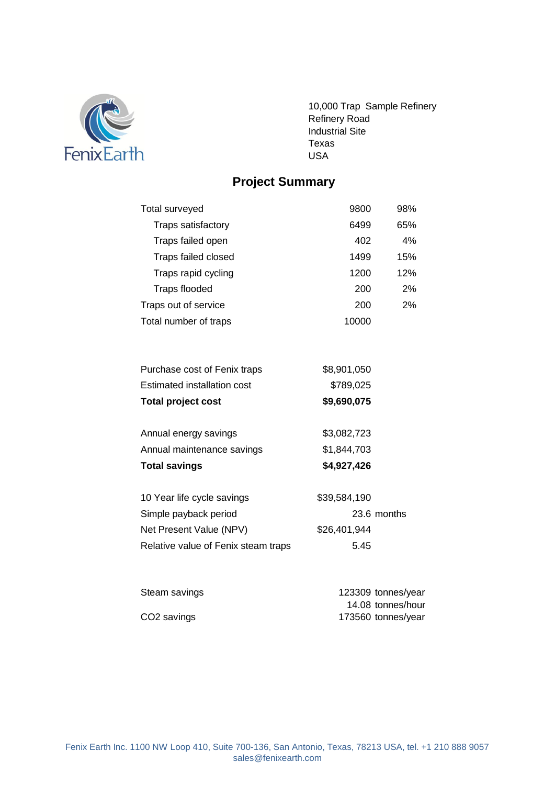

10,000 Trap Sample Refinery Refinery Road Industrial Site Texas USA

# **Project Summary**

| Total surveyed             | 9800  | 98% |
|----------------------------|-------|-----|
| <b>Traps satisfactory</b>  | 6499  | 65% |
| Traps failed open          | 402   | 4%  |
| <b>Traps failed closed</b> | 1499  | 15% |
| Traps rapid cycling        | 1200  | 12% |
| <b>Traps flooded</b>       | 200   | 2%  |
| Traps out of service       | 200   | 2%  |
| Total number of traps      | 10000 |     |

| <b>Total project cost</b>    | \$9,690,075 |
|------------------------------|-------------|
| Estimated installation cost  | \$789,025   |
| Purchase cost of Fenix traps | \$8,901,050 |

| <b>Total savings</b>       | \$4,927,426 |
|----------------------------|-------------|
| Annual maintenance savings | \$1,844,703 |
| Annual energy savings      | \$3,082,723 |

| 10 Year life cycle savings          | \$39,584,190 |
|-------------------------------------|--------------|
| Simple payback period               | 23.6 months  |
| Net Present Value (NPV)             | \$26,401,944 |
| Relative value of Fenix steam traps | 5.45         |

| Steam savings           | 123309 tonnes/year |
|-------------------------|--------------------|
|                         | 14.08 tonnes/hour  |
| CO <sub>2</sub> savings | 173560 tonnes/year |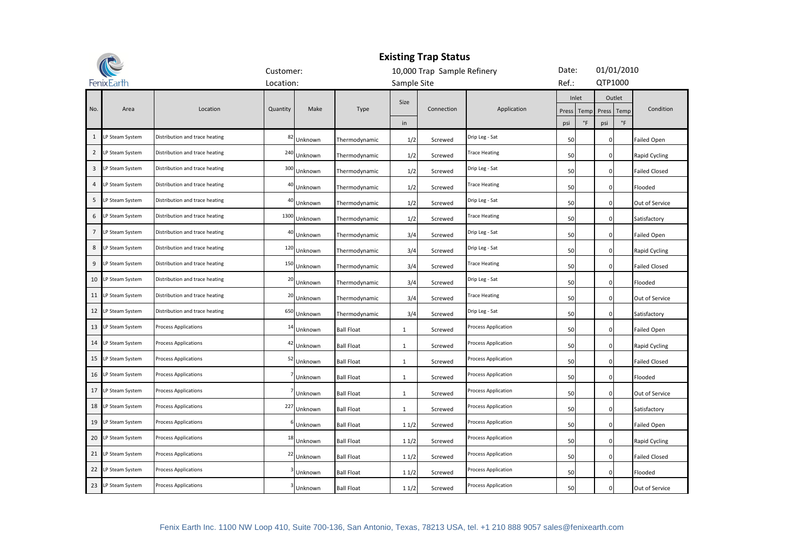| <b>Existing Trap Status</b> |                    |                                |                |         |                   |              |                             |                            |       |       |                |        |                      |
|-----------------------------|--------------------|--------------------------------|----------------|---------|-------------------|--------------|-----------------------------|----------------------------|-------|-------|----------------|--------|----------------------|
|                             |                    |                                | Customer:      |         |                   |              | 10,000 Trap Sample Refinery |                            | Date: |       | 01/01/2010     |        |                      |
|                             | <b>FenixEarth</b>  |                                | Location:      |         |                   | Sample Site  |                             |                            | Ref.: |       | QTP1000        |        |                      |
|                             |                    |                                |                |         |                   | Size         |                             |                            |       | Inlet |                | Outlet |                      |
| No.                         | Area               | Location                       | Quantity       | Make    | Type              |              | Connection                  | Application                | Press | Temp  | Press          | Temp   | Condition            |
|                             |                    |                                |                |         |                   | in           |                             |                            | psi   | °F    | psi            | °F     |                      |
| $\mathbf{1}$                | LP Steam System    | Distribution and trace heating | 82             | Unknown | Thermodynamic     | 1/2          | Screwed                     | Drip Leg - Sat             | 50    |       | $\mathbf{0}$   |        | <b>Failed Open</b>   |
| $\overline{2}$              | LP Steam System    | Distribution and trace heating | 240            | Unknown | Thermodynamic     | 1/2          | Screwed                     | <b>Trace Heating</b>       | 50    |       | $\overline{0}$ |        | Rapid Cycling        |
| 3                           | LP Steam System    | Distribution and trace heating | 300            | Unknown | Thermodynamic     | 1/2          | Screwed                     | Drip Leg - Sat             | 50    |       | $\overline{0}$ |        | <b>Failed Closed</b> |
| 4                           | LP Steam System    | Distribution and trace heating | 40             | Unknown | Thermodynamic     | 1/2          | Screwed                     | <b>Trace Heating</b>       | 50    |       | $\overline{0}$ |        | Flooded              |
| 5                           | LP Steam System    | Distribution and trace heating | 4 <sub>1</sub> | Unknown | Thermodynamic     | 1/2          | Screwed                     | Drip Leg - Sat             | 50    |       | $\overline{0}$ |        | Out of Service       |
| 6                           | LP Steam System    | Distribution and trace heating | 1300           | Unknown | Thermodynamic     | 1/2          | Screwed                     | <b>Trace Heating</b>       | 50    |       | $\overline{0}$ |        | Satisfactory         |
| $\overline{7}$              | LP Steam System    | Distribution and trace heating | 4 <sub>1</sub> | Unknown | Thermodynamic     | 3/4          | Screwed                     | Drip Leg - Sat             | 50    |       | $\overline{0}$ |        | <b>Failed Open</b>   |
| 8                           | LP Steam System    | Distribution and trace heating | 120            | Unknown | Thermodynamic     | 3/4          | Screwed                     | Drip Leg - Sat             | 50    |       | $\overline{0}$ |        | Rapid Cycling        |
| 9                           | LP Steam System    | Distribution and trace heating | 150            | Unknown | Thermodynamic     | 3/4          | Screwed                     | <b>Trace Heating</b>       | 50    |       | $\overline{0}$ |        | <b>Failed Closed</b> |
|                             | 10 LP Steam System | Distribution and trace heating | 20             | Unknown | Thermodynamic     | 3/4          | Screwed                     | Drip Leg - Sat             | 50    |       | $\overline{0}$ |        | Flooded              |
| 11                          | LP Steam System    | Distribution and trace heating | 20             | Unknown | Thermodynamic     | 3/4          | Screwed                     | <b>Trace Heating</b>       | 50    |       | $\mathbf 0$    |        | Out of Service       |
| 12                          | LP Steam System    | Distribution and trace heating | 650            | Unknown | Thermodynamic     | 3/4          | Screwed                     | Drip Leg - Sat             | 50    |       | $\mathbf{0}$   |        | Satisfactory         |
|                             | 13 LP Steam System | Process Applications           | 14             | Unknown | <b>Ball Float</b> | 1            | Screwed                     | Process Application        | 50    |       | $\mathbf 0$    |        | <b>Failed Open</b>   |
| 14                          | LP Steam System    | Process Applications           | $\Delta$       | Unknown | <b>Ball Float</b> | $\mathbf{1}$ | Screwed                     | Process Application        | 50    |       | $\overline{0}$ |        | Rapid Cycling        |
| 15                          | LP Steam System    | Process Applications           | 52             | Unknown | <b>Ball Float</b> | 1            | Screwed                     | <b>Process Application</b> | 50    |       | $\overline{0}$ |        | <b>Failed Closed</b> |
| 16                          | LP Steam System    | Process Applications           |                | Unknown | <b>Ball Float</b> | 1            | Screwed                     | Process Application        | 50    |       | $\mathbf 0$    |        | Flooded              |
| 17                          | LP Steam System    | Process Applications           |                | Unknown | <b>Ball Float</b> | 1            | Screwed                     | Process Application        | 50    |       | $\mathbf{0}$   |        | Out of Service       |
| 18                          | LP Steam System    | Process Applications           | 227            | Unknown | <b>Ball Float</b> | $\mathbf{1}$ | Screwed                     | Process Application        | 50    |       | $\overline{0}$ |        | Satisfactory         |
| 19                          | LP Steam System    | Process Applications           |                | Unknown | <b>Ball Float</b> | 11/2         | Screwed                     | Process Application        | 50    |       | $\overline{0}$ |        | <b>Failed Open</b>   |
| 20                          | LP Steam System    | <b>Process Applications</b>    | 18             | Unknown | <b>Ball Float</b> | 11/2         | Screwed                     | Process Application        | 50    |       | $\overline{0}$ |        | Rapid Cycling        |
| 21                          | LP Steam System    | Process Applications           | 22             | Unknown | <b>Ball Float</b> | 11/2         | Screwed                     | Process Application        | 50    |       | $\overline{0}$ |        | <b>Failed Closed</b> |
| 22                          | LP Steam System    | <b>Process Applications</b>    |                | Unknown | <b>Ball Float</b> | 11/2         | Screwed                     | Process Application        | 50    |       | $\overline{0}$ |        | Flooded              |
|                             | 23 LP Steam System | Process Applications           |                | Unknown | <b>Ball Float</b> | 11/2         | Screwed                     | <b>Process Application</b> | 50    |       | $\mathbf{0}$   |        | Out of Service       |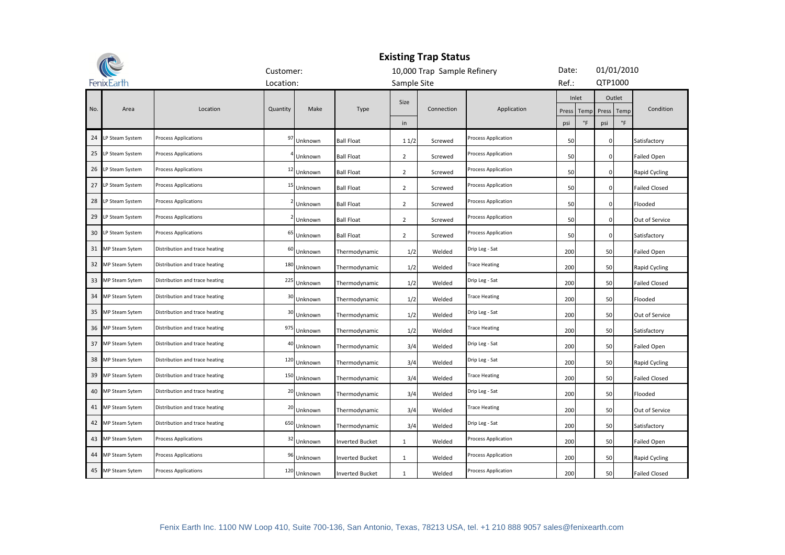| <b>Existing Trap Status</b> |                       |                                |                |         |                        |                |                             |                            |       |                     |                      |             |                      |
|-----------------------------|-----------------------|--------------------------------|----------------|---------|------------------------|----------------|-----------------------------|----------------------------|-------|---------------------|----------------------|-------------|----------------------|
|                             |                       |                                | Customer:      |         |                        |                | 10,000 Trap Sample Refinery |                            | Date: |                     | 01/01/2010           |             |                      |
|                             | FenixEarth            |                                | Location:      |         |                        | Sample Site    |                             |                            | Ref.: |                     | QTP1000              |             |                      |
| No.                         | Area                  | Location                       | Quantity       | Make    | Type                   | Size           | Connection                  | Application                | Press | Inlet<br>Temp       | Outlet<br>Press Temp |             | Condition            |
|                             |                       |                                |                |         |                        | in             |                             |                            | psi   | $^\circ \mathsf{F}$ | psi                  | $\degree$ F |                      |
|                             | 24 LP Steam System    | <b>Process Applications</b>    | 97             | Unknown | <b>Ball Float</b>      | 11/2           | Screwed                     | <b>Process Application</b> | 50    |                     | $\mathbf{0}$         |             | Satisfactory         |
| 25                          | LP Steam System       | <b>Process Applications</b>    |                | Unknown | <b>Ball Float</b>      | $\overline{2}$ | Screwed                     | Process Application        | 50    |                     | $\mathbf{0}$         |             | <b>Failed Open</b>   |
| 26                          | LP Steam System       | Process Applications           | $\mathbf{1}$   | Unknown | <b>Ball Float</b>      | $\overline{2}$ | Screwed                     | Process Application        | 50    |                     | $\mathbf 0$          |             | Rapid Cycling        |
| 27                          | LP Steam System       | <b>Process Applications</b>    | 15             | Unknown | <b>Ball Float</b>      | $\overline{2}$ | Screwed                     | Process Application        | 50    |                     | $\mathbf{0}$         |             | <b>Failed Closed</b> |
| 28                          | LP Steam System       | <b>Process Applications</b>    |                | Unknown | <b>Ball Float</b>      | $\overline{2}$ | Screwed                     | Process Application        | 50    |                     | $\mathbf 0$          |             | Flooded              |
| 29                          | LP Steam System       | <b>Process Applications</b>    |                | Unknown | <b>Ball Float</b>      | $\overline{2}$ | Screwed                     | <b>Process Application</b> | 50    |                     | $\overline{0}$       |             | Out of Service       |
| 30                          | LP Steam System       | <b>Process Applications</b>    | 6              | Unknown | <b>Ball Float</b>      | $\overline{2}$ | Screwed                     | Process Application        | 50    |                     | $\overline{0}$       |             | Satisfactory         |
| 31                          | MP Steam Sytem        | Distribution and trace heating | 6              | Unknown | Thermodynamic          | 1/2            | Welded                      | Drip Leg - Sat             | 200   |                     | 50                   |             | <b>Failed Open</b>   |
| 32                          | <b>MP Steam Sytem</b> | Distribution and trace heating | 180            | Unknown | Thermodynamic          | 1/2            | Welded                      | <b>Trace Heating</b>       | 200   |                     | 50                   |             | Rapid Cycling        |
| 33                          | <b>MP Steam Sytem</b> | Distribution and trace heating | 225            | Unknown | Thermodynamic          | 1/2            | Welded                      | Drip Leg - Sat             | 200   |                     | 50                   |             | <b>Failed Closed</b> |
| 34                          | MP Steam Sytem        | Distribution and trace heating | 3 <sup>o</sup> | Unknown | Thermodynamic          | 1/2            | Welded                      | <b>Trace Heating</b>       | 200   |                     | 50                   |             | Flooded              |
| 35                          | <b>MP Steam Sytem</b> | Distribution and trace heating | 3              | Unknown | Thermodynamic          | 1/2            | Welded                      | Drip Leg - Sat             | 200   |                     | 50                   |             | Out of Service       |
| 36                          | <b>MP Steam Sytem</b> | Distribution and trace heating | 975            | Unknown | Thermodynamic          | 1/2            | Welded                      | <b>Trace Heating</b>       | 200   |                     | 50                   |             | Satisfactory         |
| 37                          | <b>MP Steam Sytem</b> | Distribution and trace heating |                | Unknown | Thermodynamic          | 3/4            | Welded                      | Drip Leg - Sat             | 200   |                     | 50                   |             | Failed Open          |
| 38                          | MP Steam Sytem        | Distribution and trace heating | 120            | Unknown | Thermodynamic          | 3/4            | Welded                      | Drip Leg - Sat             | 200   |                     | 50                   |             | Rapid Cycling        |
| 39                          | <b>MP Steam Sytem</b> | Distribution and trace heating | 150            | Unknown | Thermodynamic          | 3/4            | Welded                      | <b>Trace Heating</b>       | 200   |                     | 50                   |             | <b>Failed Closed</b> |
| 40                          | MP Steam Sytem        | Distribution and trace heating | 20             | Unknown | Thermodynamic          | 3/4            | Welded                      | Drip Leg - Sat             | 200   |                     | 50                   |             | Flooded              |
| 41                          | MP Steam Sytem        | Distribution and trace heating | 20             | Unknown | Thermodynamic          | 3/4            | Welded                      | <b>Trace Heating</b>       | 200   |                     | 50                   |             | Out of Service       |
| 42                          | MP Steam Sytem        | Distribution and trace heating | 650            | Unknown | Thermodynamic          | 3/4            | Welded                      | Drip Leg - Sat             | 200   |                     | 50                   |             | Satisfactory         |
| 43                          | MP Steam Sytem        | <b>Process Applications</b>    | 3              | Unknown | <b>Inverted Bucket</b> | $\mathbf{1}$   | Welded                      | Process Application        | 200   |                     | 50                   |             | <b>Failed Open</b>   |
| 44                          | <b>MP Steam Sytem</b> | Process Applications           | 9              | Unknown | <b>Inverted Bucket</b> | $\mathbf{1}$   | Welded                      | Process Application        | 200   |                     | 50                   |             | Rapid Cycling        |
|                             | 45 MP Steam Sytem     | <b>Process Applications</b>    | 120            | Unknown | <b>Inverted Bucket</b> | $\mathbf{1}$   | Welded                      | Process Application        | 200   |                     | 50                   |             | <b>Failed Closed</b> |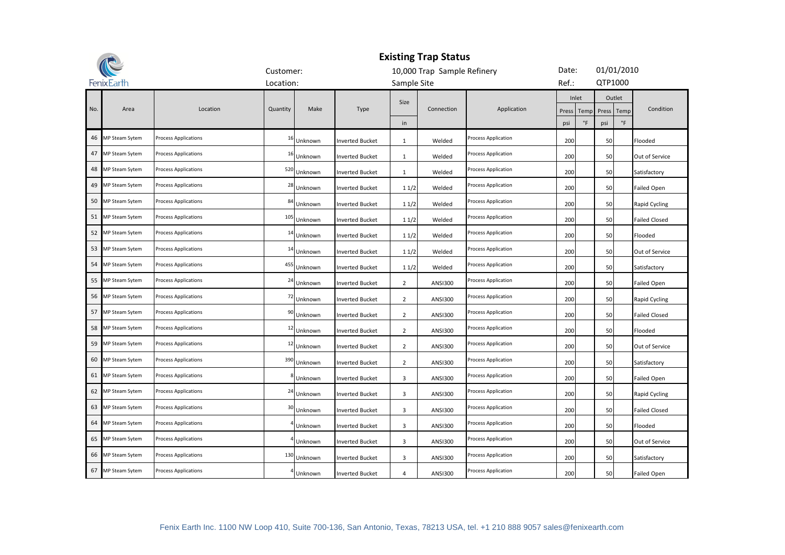| <b>Existing Trap Status</b> |                                      |                             |                |         |                        |                |                             |                            |       |                     |         |                      |                      |
|-----------------------------|--------------------------------------|-----------------------------|----------------|---------|------------------------|----------------|-----------------------------|----------------------------|-------|---------------------|---------|----------------------|----------------------|
|                             |                                      |                             | Customer:      |         |                        |                | 10,000 Trap Sample Refinery |                            | Date: |                     |         | 01/01/2010           |                      |
|                             | FenixEarth                           |                             | Location:      |         |                        | Sample Site    |                             |                            | Ref.: |                     | QTP1000 |                      |                      |
| No.                         | Area<br>Location<br>Quantity<br>Make |                             |                |         | Type                   | Size           | Connection                  | Application                | Press | Inlet<br>Temp       |         | Outlet<br>Press Temp | Condition            |
|                             |                                      |                             |                |         |                        | in             |                             |                            | psi   | $^\circ \mathsf{F}$ | psi     | $\degree$ F          |                      |
| 46                          | MP Steam Sytem                       | <b>Process Applications</b> | $\mathbf{1}$   | Unknown | <b>Inverted Bucket</b> | 1              | Welded                      | <b>Process Application</b> | 200   |                     | 50      |                      | Flooded              |
| 47                          | <b>MP Steam Sytem</b>                | <b>Process Applications</b> | 1              | Unknown | <b>Inverted Bucket</b> | $\mathbf{1}$   | Welded                      | Process Application        | 200   |                     | 50      |                      | Out of Service       |
| 48                          | MP Steam Sytem                       | Process Applications        | 520            | Unknown | <b>Inverted Bucket</b> | $\mathbf{1}$   | Welded                      | Process Application        | 200   |                     | 50      |                      | Satisfactory         |
| 49                          | MP Steam Sytem                       | <b>Process Applications</b> | 28             | Unknown | <b>Inverted Bucket</b> | 11/2           | Welded                      | Process Application        | 200   |                     | 50      |                      | <b>Failed Open</b>   |
| 50                          | MP Steam Sytem                       | Process Applications        | 84             | Unknown | <b>Inverted Bucket</b> | 11/2           | Welded                      | Process Application        | 200   |                     | 50      |                      | Rapid Cycling        |
| 51                          | MP Steam Sytem                       | <b>Process Applications</b> | 10             | Unknown | <b>Inverted Bucket</b> | 11/2           | Welded                      | Process Application        | 200   |                     | 50      |                      | <b>Failed Closed</b> |
| 52                          | MP Steam Sytem                       | <b>Process Applications</b> | 1 <sup>4</sup> | Unknown | <b>Inverted Bucket</b> | 11/2           | Welded                      | Process Application        | 200   |                     | 50      |                      | Flooded              |
| 53                          | MP Steam Sytem                       | <b>Process Applications</b> | $\mathbf{1}$   | Unknown | <b>Inverted Bucket</b> | 11/2           | Welded                      | Process Application        | 200   |                     | 50      |                      | Out of Service       |
| 54                          | MP Steam Sytem                       | <b>Process Applications</b> | 455            | Unknown | <b>Inverted Bucket</b> | 11/2           | Welded                      | Process Application        | 200   |                     | 50      |                      | Satisfactory         |
| 55                          | MP Steam Sytem                       | <b>Process Applications</b> | 2 <sup>2</sup> | Unknown | <b>Inverted Bucket</b> | $\overline{2}$ | <b>ANSI300</b>              | Process Application        | 200   |                     | 50      |                      | Failed Open          |
| 56                          | MP Steam Sytem                       | Process Applications        | -72            | Unknown | <b>Inverted Bucket</b> | $\overline{2}$ | <b>ANSI300</b>              | Process Application        | 200   |                     | 50      |                      | Rapid Cycling        |
| 57                          | MP Steam Sytem                       | Process Applications        | 9              | Unknown | <b>Inverted Bucket</b> | 2              | <b>ANSI300</b>              | Process Application        | 200   |                     | 50      |                      | <b>Failed Closed</b> |
| 58                          | MP Steam Sytem                       | Process Applications        | 1              | Unknown | <b>Inverted Bucket</b> | $\overline{2}$ | <b>ANSI300</b>              | Process Application        | 200   |                     | 50      |                      | Flooded              |
| 59                          | MP Steam Sytem                       | Process Applications        | $\mathbf{1}$   | Unknown | <b>Inverted Bucket</b> | $\overline{2}$ | <b>ANSI300</b>              | Process Application        | 200   |                     | 50      |                      | Out of Service       |
| 60                          | MP Steam Sytem                       | Process Applications        | 390            | Unknown | <b>Inverted Bucket</b> | $\overline{2}$ | <b>ANSI300</b>              | Process Application        | 200   |                     | 50      |                      | Satisfactory         |
| 61                          | MP Steam Sytem                       | Process Applications        |                | Unknown | <b>Inverted Bucket</b> | 3              | <b>ANSI300</b>              | Process Application        | 200   |                     | 50      |                      | <b>Failed Open</b>   |
| 62                          | MP Steam Sytem                       | <b>Process Applications</b> | $\overline{2}$ | Unknown | <b>Inverted Bucket</b> | 3              | <b>ANSI300</b>              | <b>Process Application</b> | 200   |                     | 50      |                      | Rapid Cycling        |
| 63                          | MP Steam Sytem                       | <b>Process Applications</b> | $\overline{3}$ | Unknown | <b>Inverted Bucket</b> | 3              | <b>ANSI300</b>              | <b>Process Application</b> | 200   |                     | 50      |                      | <b>Failed Closed</b> |
| 64                          | MP Steam Sytem                       | Process Applications        |                | Unknown | <b>Inverted Bucket</b> | 3              | <b>ANSI300</b>              | <b>Process Application</b> | 200   |                     | 50      |                      | Flooded              |
| 65                          | <b>MP Steam Sytem</b>                | <b>Process Applications</b> |                | Unknown | <b>Inverted Bucket</b> | 3              | <b>ANSI300</b>              | Process Application        | 200   |                     | 50      |                      | Out of Service       |
| 66                          | <b>MP Steam Sytem</b>                | Process Applications        | 130            | Unknown | <b>Inverted Bucket</b> | 3              | <b>ANSI300</b>              | Process Application        | 200   |                     | 50      |                      | Satisfactory         |
| 67                          | MP Steam Sytem                       | <b>Process Applications</b> |                | Unknown | <b>Inverted Bucket</b> | $\overline{4}$ | <b>ANSI300</b>              | Process Application        | 200   |                     | 50      |                      | <b>Failed Open</b>   |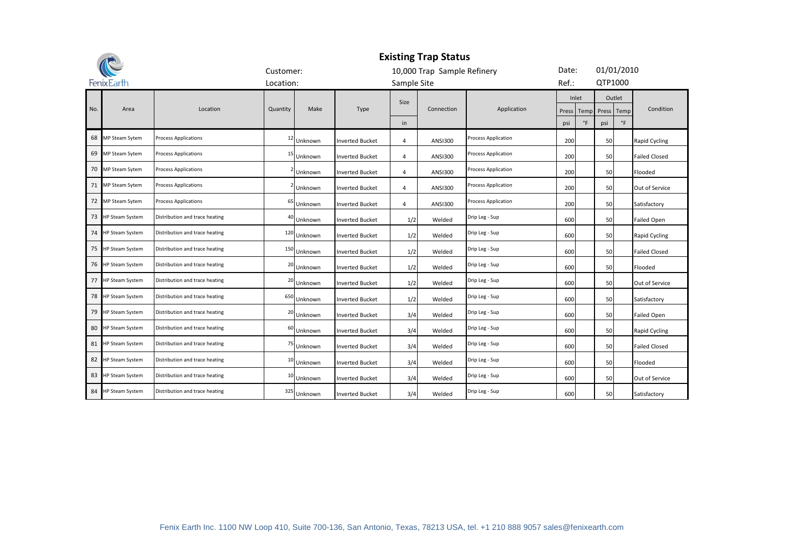|     |                        |                                | <b>Existing Trap Status</b> |         |                        |                |                             |                            |       |                        |            |            |                      |  |  |
|-----|------------------------|--------------------------------|-----------------------------|---------|------------------------|----------------|-----------------------------|----------------------------|-------|------------------------|------------|------------|----------------------|--|--|
|     |                        |                                | Customer:                   |         |                        |                | 10,000 Trap Sample Refinery |                            | Date: |                        |            | 01/01/2010 |                      |  |  |
|     | FenixEarth             |                                | Location:                   |         |                        | Sample Site    |                             |                            | Ref.: |                        | QTP1000    |            |                      |  |  |
| No. | Area                   | Location                       | Quantity                    | Make    | Type                   | Size           | Application<br>Connection   |                            |       | Inlet<br>Press<br>Temp | Press Temp | Outlet     | Condition            |  |  |
|     |                        |                                |                             |         |                        | in             |                             |                            | psi   | $\degree$ F            | psi        | $\circ$ F  |                      |  |  |
| 68  | <b>MP Steam Sytem</b>  | Process Applications           | 12                          | Unknown | Inverted Bucket        | 4              | <b>ANSI300</b>              | Process Application        | 200   |                        | 50         |            | Rapid Cycling        |  |  |
| 69  | <b>MP Steam Sytem</b>  | <b>Process Applications</b>    | 15                          | Unknown | <b>Inverted Bucket</b> | 4              | <b>ANSI300</b>              | Process Application        | 200   |                        | 50         |            | <b>Failed Closed</b> |  |  |
|     | 70 MP Steam Sytem      | Process Applications           |                             | Unknown | <b>Inverted Bucket</b> | 4              | <b>ANSI300</b>              | <b>Process Application</b> | 200   |                        | 50         |            | Flooded              |  |  |
| 71  | <b>MP Steam Sytem</b>  | <b>Process Applications</b>    |                             | Unknown | Inverted Bucket        | 4              | <b>ANSI300</b>              | <b>Process Application</b> | 200   |                        | 50         |            | Out of Service       |  |  |
|     | 72 MP Steam Sytem      | Process Applications           | 65                          | Unknown | <b>Inverted Bucket</b> | $\overline{4}$ | <b>ANSI300</b>              | Process Application        | 200   |                        | 50         |            | Satisfactory         |  |  |
| 73  | <b>HP Steam System</b> | Distribution and trace heating | 40                          | Unknown | <b>Inverted Bucket</b> | 1/2            | Welded                      | Drip Leg - Sup             | 600   |                        | 50         |            | <b>Failed Open</b>   |  |  |
| 74  | <b>HP Steam System</b> | Distribution and trace heating | 120                         | Unknown | <b>Inverted Bucket</b> | 1/2            | Welded                      | Drip Leg - Sup             | 600   |                        | 50         |            | Rapid Cycling        |  |  |
| 75  | HP Steam System        | Distribution and trace heating | 150                         | Unknown | <b>Inverted Bucket</b> | 1/2            | Welded                      | Drip Leg - Sup             | 600   |                        | 50         |            | <b>Failed Closed</b> |  |  |
| 76  | <b>IP Steam System</b> | Distribution and trace heating | 20                          | Unknown | <b>Inverted Bucket</b> | 1/2            | Welded                      | Drip Leg - Sup             | 600   |                        | 50         |            | Flooded              |  |  |
| 77  | <b>HP Steam System</b> | Distribution and trace heating | 20                          | Unknown | <b>Inverted Bucket</b> | 1/2            | Welded                      | Drip Leg - Sup             | 600   |                        | 50         |            | Out of Service       |  |  |
| 78  | <b>IP Steam System</b> | Distribution and trace heating | 650                         | Unknown | <b>Inverted Bucket</b> | 1/2            | Welded                      | Drip Leg - Sup             | 600   |                        | 50         |            | Satisfactory         |  |  |
| 79  | <b>HP Steam System</b> | Distribution and trace heating | 20                          | Unknown | <b>Inverted Bucket</b> | 3/4            | Welded                      | Drip Leg - Sup             | 600   |                        | 50         |            | <b>Failed Open</b>   |  |  |
| 80  | <b>HP Steam System</b> | Distribution and trace heating | 60                          | Unknown | <b>Inverted Bucket</b> | 3/4            | Welded                      | Drip Leg - Sup             | 600   |                        | 50         |            | Rapid Cycling        |  |  |
| 81  | <b>HP Steam System</b> | Distribution and trace heating | 75                          | Unknown | <b>Inverted Bucket</b> | 3/4            | Welded                      | Drip Leg - Sup             | 600   |                        | 50         |            | <b>Failed Closed</b> |  |  |
| 82  | <b>IP Steam System</b> | Distribution and trace heating | 10                          | Unknown | <b>Inverted Bucket</b> | 3/4            | Welded                      | Drip Leg - Sup             | 600   |                        | 50         |            | Flooded              |  |  |
| 83  | HP Steam System        | Distribution and trace heating | 10                          | Unknown | Inverted Bucket        | 3/4            | Welded                      | Drip Leg - Sup             | 600   |                        | 50         |            | Out of Service       |  |  |
| 84  | <b>HP Steam System</b> | Distribution and trace heating | 325                         | Unknown | <b>Inverted Bucket</b> | 3/4            | Welded                      | Drip Leg - Sup             | 600   |                        | 50         |            | Satisfactory         |  |  |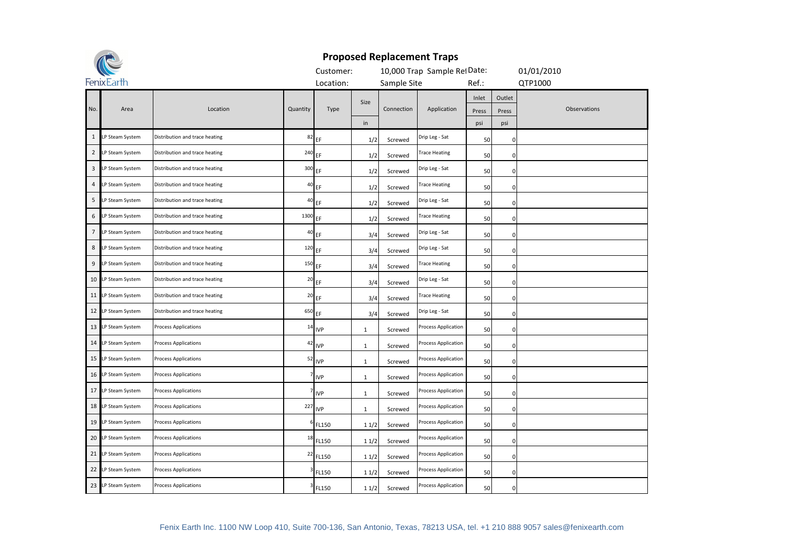

|                | <b>CC</b>          |                                |          | Customer:  |              |             | 10,000 Trap Sample RefDate: |       |             | 01/01/2010   |
|----------------|--------------------|--------------------------------|----------|------------|--------------|-------------|-----------------------------|-------|-------------|--------------|
|                | FenixEarth         |                                |          | Location:  |              | Sample Site |                             | Ref.: |             | QTP1000      |
|                |                    |                                |          |            | Size         |             |                             | Inlet | Outlet      |              |
| No.            | Area               | Location                       | Quantity | Type       |              | Connection  | Application                 | Press | Press       | Observations |
|                |                    |                                |          |            | in           |             |                             | psi   | psi         |              |
| $\mathbf{1}$   | LP Steam System    | Distribution and trace heating | 82       | EF         | 1/2          | Screwed     | Drip Leg - Sat              | 50    | 0           |              |
| $\overline{2}$ | LP Steam System    | Distribution and trace heating | 240      | EF         | 1/2          | Screwed     | <b>Trace Heating</b>        | 50    | $\mathbf 0$ |              |
| 3              | LP Steam System    | Distribution and trace heating | 300      | EF         | 1/2          | Screwed     | Drip Leg - Sat              | 50    | $\mathbf 0$ |              |
| $\overline{4}$ | LP Steam System    | Distribution and trace heating | 40       | EF         | 1/2          | Screwed     | <b>Trace Heating</b>        | 50    | $\mathbf 0$ |              |
| 5              | LP Steam System    | Distribution and trace heating | 40       | EF         | 1/2          | Screwed     | Drip Leg - Sat              | 50    | 0           |              |
| 6              | LP Steam System    | Distribution and trace heating | 1300     | EF         | 1/2          | Screwed     | Trace Heating               | 50    | $\mathbf 0$ |              |
| $\overline{7}$ | LP Steam System    | Distribution and trace heating | 40       | EF.        | 3/4          | Screwed     | Drip Leg - Sat              | 50    | $\mathbf 0$ |              |
| 8              | LP Steam System    | Distribution and trace heating | $120$ EF |            | 3/4          | Screwed     | Drip Leg - Sat              | 50    | $\mathbf 0$ |              |
| 9              | LP Steam System    | Distribution and trace heating | 150      | EF         | 3/4          | Screwed     | Trace Heating               | 50    | $\mathbf 0$ |              |
|                | 10 LP Steam System | Distribution and trace heating | 20       | EF.        | 3/4          | Screwed     | Drip Leg - Sat              | 50    | 0           |              |
|                | 11 LP Steam System | Distribution and trace heating | 20       | EF         | 3/4          | Screwed     | <b>Trace Heating</b>        | 50    | $\mathbf 0$ |              |
|                | 12 LP Steam System | Distribution and trace heating | 650      | EF         | 3/4          | Screwed     | Drip Leg - Sat              | 50    | $\pmb{0}$   |              |
|                | 13 LP Steam System | <b>Process Applications</b>    |          | $14$ IVP   | $1\,$        | Screwed     | Process Application         | 50    | $\pmb{0}$   |              |
|                | 14 LP Steam System | <b>Process Applications</b>    | 42       | <b>IVP</b> | 1            | Screwed     | Process Application         | 50    | 0           |              |
|                | 15 LP Steam System | <b>Process Applications</b>    | 52       | <b>IVP</b> | 1            | Screwed     | Process Application         | 50    | 0           |              |
|                | 16 LP Steam System | <b>Process Applications</b>    |          | <b>IVP</b> | 1            | Screwed     | Process Application         | 50    | 0           |              |
|                | 17 LP Steam System | <b>Process Applications</b>    |          | <b>IVP</b> | $\mathbf{1}$ | Screwed     | Process Application         | 50    | 0           |              |
|                | 18 LP Steam System | <b>Process Applications</b>    | 227      | <b>IVP</b> | $\mathbf{1}$ | Screwed     | Process Application         | 50    | $\pmb{0}$   |              |
|                | 19 LP Steam System | <b>Process Applications</b>    |          | FL150      | 11/2         | Screwed     | Process Application         | 50    | $\mathbf 0$ |              |
|                | 20 LP Steam System | <b>Process Applications</b>    | 18       | FL150      | 11/2         | Screwed     | Process Application         | 50    | 0           |              |
|                | 21 LP Steam System | <b>Process Applications</b>    | 22       | FL150      | 11/2         | Screwed     | Process Application         | 50    | $\mathbf 0$ |              |
|                | 22 LP Steam System | <b>Process Applications</b>    |          | FL150      | 11/2         | Screwed     | Process Application         | 50    | $\mathbf 0$ |              |
|                | 23 LP Steam System | <b>Process Applications</b>    |          | FL150      | 11/2         | Screwed     | Process Application         | 50    | $\mathbf 0$ |              |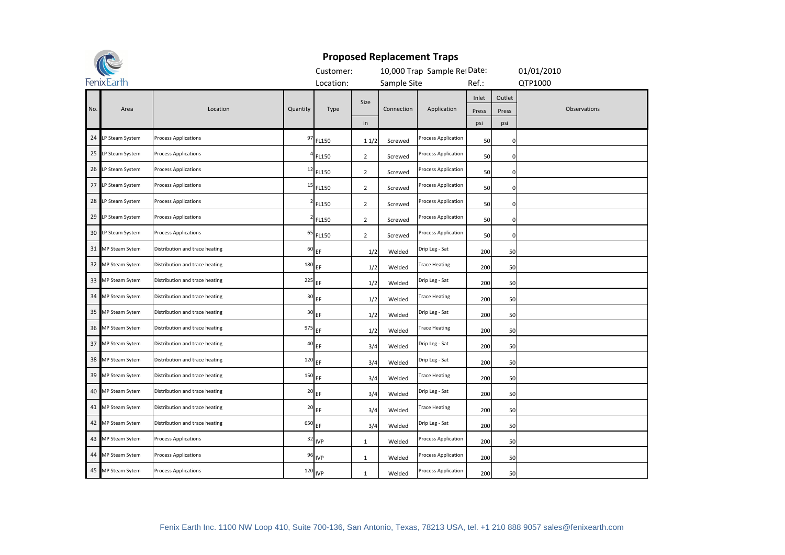

|     | <b>CC</b>          |                                |              | Customer:            |                |             | 10,000 Trap Sample RefDate: |                       |                        | 01/01/2010   |
|-----|--------------------|--------------------------------|--------------|----------------------|----------------|-------------|-----------------------------|-----------------------|------------------------|--------------|
|     | FenixEarth         |                                |              | Location:            |                | Sample Site |                             | Ref.:                 |                        | QTP1000      |
| No. | Area               | Location                       | Quantity     | Type                 | Size<br>in     | Connection  | Application                 | Inlet<br>Press<br>psi | Outlet<br>Press<br>psi | Observations |
|     | 24 LP Steam System | <b>Process Applications</b>    | 97           | FL150                | 11/2           | Screwed     | Process Application         | 50                    | 0                      |              |
|     | 25 LP Steam System | <b>Process Applications</b>    |              | FL150                | $\overline{2}$ | Screwed     | Process Application         | 50                    | $\mathbf 0$            |              |
|     | 26 LP Steam System | <b>Process Applications</b>    | $\mathbf{1}$ | FL150                | $\overline{2}$ | Screwed     | Process Application         | 50                    | $\mathbf 0$            |              |
|     | 27 LP Steam System | <b>Process Applications</b>    | 15           | FL150                | $\overline{2}$ | Screwed     | Process Application         | 50                    | 0                      |              |
|     | 28 LP Steam System | <b>Process Applications</b>    |              | FL150                | $\overline{2}$ | Screwed     | Process Application         | 50                    | $\mathbf 0$            |              |
|     | 29 LP Steam System | <b>Process Applications</b>    |              | FL150                | $\overline{2}$ | Screwed     | Process Application         | 50                    | 0                      |              |
|     | 30 LP Steam System | <b>Process Applications</b>    | 65           | FL150                | $\overline{2}$ | Screwed     | Process Application         | 50                    | $\mathbf 0$            |              |
|     | 31 MP Steam Sytem  | Distribution and trace heating | 60           | EF                   | 1/2            | Welded      | Drip Leg - Sat              | 200                   | 50                     |              |
|     | 32 MP Steam Sytem  | Distribution and trace heating | 180          | EF                   | 1/2            | Welded      | <b>Trace Heating</b>        | 200                   | 50                     |              |
|     | 33 MP Steam Sytem  | Distribution and trace heating | 225          | EF                   | 1/2            | Welded      | Drip Leg - Sat              | 200                   | 50                     |              |
|     | 34 MP Steam Sytem  | Distribution and trace heating | 30           | EF                   | 1/2            | Welded      | <b>Trace Heating</b>        | 200                   | 50                     |              |
|     | 35 MP Steam Sytem  | Distribution and trace heating | 30           | EF                   | 1/2            | Welded      | Drip Leg - Sat              | 200                   | 50                     |              |
|     | 36 MP Steam Sytem  | Distribution and trace heating | 975 EF       |                      | 1/2            | Welded      | <b>Trace Heating</b>        | 200                   | 50                     |              |
|     | 37 MP Steam Sytem  | Distribution and trace heating | 40           | EF                   | 3/4            | Welded      | Drip Leg - Sat              | 200                   | 50                     |              |
|     | 38 MP Steam Sytem  | Distribution and trace heating | 120          | EF                   | 3/4            | Welded      | Drip Leg - Sat              | 200                   | 50                     |              |
|     | 39 MP Steam Sytem  | Distribution and trace heating | 150          | EF                   | 3/4            | Welded      | <b>Trace Heating</b>        | 200                   | 50                     |              |
|     | 40 MP Steam Sytem  | Distribution and trace heating | 20           | EF                   | 3/4            | Welded      | Drip Leg - Sat              | 200                   | 50                     |              |
|     | 41 MP Steam Sytem  | Distribution and trace heating |              | $20$ EF              | 3/4            | Welded      | <b>Trace Heating</b>        | 200                   | 50                     |              |
|     | 42 MP Steam Sytem  | Distribution and trace heating | 650          | EF                   | 3/4            | Welded      | Drip Leg - Sat              | 200                   | 50                     |              |
|     | 43 MP Steam Sytem  | <b>Process Applications</b>    | 32           | <b>IVP</b>           | $\mathbf{1}$   | Welded      | Process Application         | 200                   | 50                     |              |
|     | 44 MP Steam Sytem  | <b>Process Applications</b>    | 96           | <b>IVP</b>           | $\mathbf{1}$   | Welded      | Process Application         | 200                   | 50                     |              |
|     | 45 MP Steam Sytem  | <b>Process Applications</b>    |              | $120$ <sub>IVP</sub> | $\mathbf{1}$   | Welded      | Process Application         | 200                   | 50                     |              |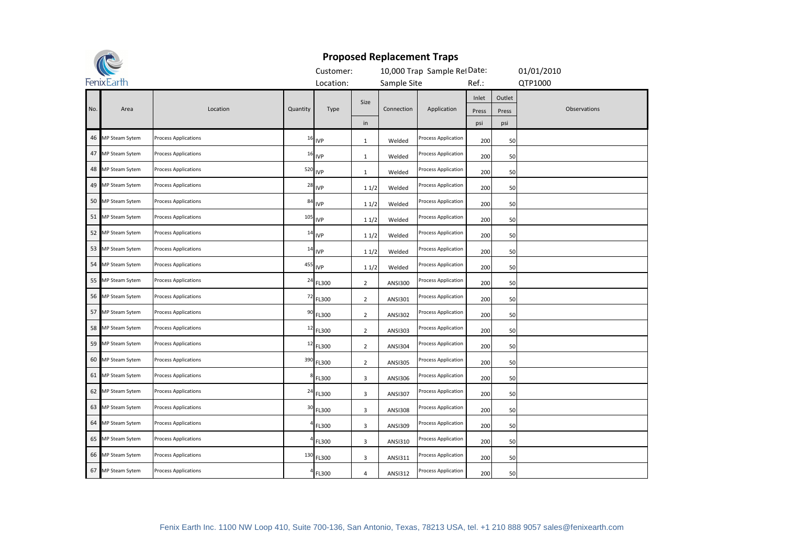

|     | M-                    |                             |                | Customer:            |                |                | 10,000 Trap Sample RefDate: |                       |                        | 01/01/2010   |
|-----|-----------------------|-----------------------------|----------------|----------------------|----------------|----------------|-----------------------------|-----------------------|------------------------|--------------|
|     | FenixEarth            |                             |                | Location:            |                | Sample Site    |                             | Ref.:                 |                        | QTP1000      |
| No. | Area                  | Location                    | Quantity       | Type                 | Size<br>in     | Connection     | Application                 | Inlet<br>Press<br>psi | Outlet<br>Press<br>psi | Observations |
|     | 46 MP Steam Sytem     | <b>Process Applications</b> |                | $16$ <sub>IVP</sub>  | $\mathbf{1}$   | Welded         | Process Application         | 200                   | 50                     |              |
|     | 47 MP Steam Sytem     | <b>Process Applications</b> |                | $16$ <sub>IVP</sub>  | $\mathbf{1}$   | Welded         | Process Application         | 200                   | 50                     |              |
|     | 48 MP Steam Sytem     | <b>Process Applications</b> |                | $520$ IVP            | $\mathbf{1}$   | Welded         | Process Application         | 200                   | 50                     |              |
|     | 49 MP Steam Sytem     | <b>Process Applications</b> | 28             | <b>IVP</b>           | 11/2           | Welded         | Process Application         | 200                   | 50                     |              |
|     | 50 MP Steam Sytem     | <b>Process Applications</b> | 84             | <b>IVP</b>           | 11/2           | Welded         | Process Application         | 200                   | 50                     |              |
| 51  | <b>MP Steam Sytem</b> | <b>Process Applications</b> |                | $105$ <sub>IVP</sub> | 11/2           | Welded         | Process Application         | 200                   | 50                     |              |
|     | 52 MP Steam Sytem     | <b>Process Applications</b> | 14             | <b>IVP</b>           | 11/2           | Welded         | Process Application         | 200                   | 50                     |              |
|     | 53 MP Steam Sytem     | <b>Process Applications</b> | 14             | <b>IVP</b>           | 11/2           | Welded         | Process Application         | 200                   | 50                     |              |
|     | 54 MP Steam Sytem     | <b>Process Applications</b> |                | $^{455}$ IVP         | 11/2           | Welded         | Process Application         | 200                   | 50                     |              |
|     | 55 MP Steam Sytem     | <b>Process Applications</b> | 24             | FL300                | $\overline{2}$ | <b>ANSI300</b> | Process Application         | 200                   | 50                     |              |
|     | 56 MP Steam Sytem     | <b>Process Applications</b> | 72             | FL300                | $\overline{2}$ | ANSI301        | Process Application         | 200                   | 50                     |              |
|     | 57 MP Steam Sytem     | <b>Process Applications</b> | 90             | FL300                | $\overline{2}$ | <b>ANSI302</b> | Process Application         | 200                   | 50                     |              |
|     | 58 MP Steam Sytem     | <b>Process Applications</b> | $\mathbf{1}$   | FL300                | $\overline{2}$ | <b>ANSI303</b> | Process Application         | 200                   | 50                     |              |
|     | 59 MP Steam Sytem     | <b>Process Applications</b> | 12             | FL300                | $\overline{2}$ | <b>ANSI304</b> | Process Application         | 200                   | 50                     |              |
|     | 60 MP Steam Sytem     | <b>Process Applications</b> | 390            | FL300                | $\overline{2}$ | <b>ANSI305</b> | Process Application         | 200                   | 50                     |              |
|     | 61 MP Steam Sytem     | <b>Process Applications</b> |                | FL300                | 3              | ANSI306        | Process Application         | 200                   | 50                     |              |
|     | 62 MP Steam Sytem     | <b>Process Applications</b> | 2 <sub>0</sub> | FL300                | 3              | <b>ANSI307</b> | Process Application         | 200                   | 50                     |              |
|     | 63 MP Steam Sytem     | <b>Process Applications</b> | 30             | FL300                | 3              | <b>ANSI308</b> | Process Application         | 200                   | 50                     |              |
|     | 64 MP Steam Sytem     | <b>Process Applications</b> |                | FL300                | 3              | ANSI309        | Process Application         | 200                   | 50                     |              |
|     | 65 MP Steam Sytem     | <b>Process Applications</b> |                | FL300                | 3              | ANSI310        | Process Application         | 200                   | 50                     |              |
|     | 66 MP Steam Sytem     | <b>Process Applications</b> | 130            | FL300                | 3              | ANSI311        | Process Application         | 200                   | 50                     |              |
|     | 67 MP Steam Sytem     | <b>Process Applications</b> |                | FL300                | 4              | <b>ANSI312</b> | Process Application         | 200                   | 50                     |              |